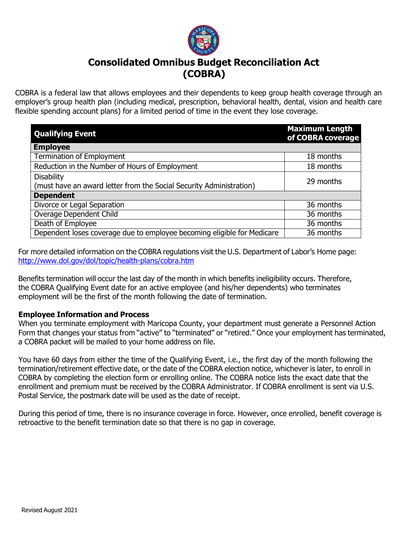

# **Consolidated Omnibus Budget Reconciliation Act (COBRA)**

COBRA is a federal law that allows employees and their dependents to keep group health coverage through an employer's group health plan (including medical, prescription, behavioral health, dental, vision and health care flexible spending account plans) for a limited period of time in the event they lose coverage.

| <b>Qualifying Event</b>                                                 | <b>Maximum Length</b><br>of COBRA coverage |
|-------------------------------------------------------------------------|--------------------------------------------|
| <b>Employee</b>                                                         |                                            |
| <b>Termination of Employment</b>                                        | 18 months                                  |
| Reduction in the Number of Hours of Employment                          | 18 months                                  |
| <b>Disability</b>                                                       | 29 months                                  |
| (must have an award letter from the Social Security Administration)     |                                            |
| <b>Dependent</b>                                                        |                                            |
| Divorce or Legal Separation                                             | 36 months                                  |
| Overage Dependent Child                                                 | 36 months                                  |
| Death of Employee                                                       | 36 months                                  |
| Dependent loses coverage due to employee becoming eligible for Medicare | 36 months                                  |

For more detailed information on the COBRA regulations visit the U.S. Department of Labor's Home page: <http://www.dol.gov/dol/topic/health-plans/cobra.htm>

Benefits termination will occur the last day of the month in which benefits ineligibility occurs. Therefore, the COBRA Qualifying Event date for an active employee (and his/her dependents) who terminates employment will be the first of the month following the date of termination.

## **Employee Information and Process**

When you terminate employment with Maricopa County, your department must generate a Personnel Action Form that changes your status from "active" to "terminated" or "retired." Once your employment has terminated, a COBRA packet will be mailed to your home address on file.

You have 60 days from either the time of the Qualifying Event, i.e., the first day of the month following the termination/retirement effective date, or the date of the COBRA election notice, whichever is later, to enroll in COBRA by completing the election form or enrolling online. The COBRA notice lists the exact date that the enrollment and premium must be received by the COBRA Administrator. If COBRA enrollment is sent via U.S. Postal Service, the postmark date will be used as the date of receipt.

During this period of time, there is no insurance coverage in force. However, once enrolled, benefit coverage is retroactive to the benefit termination date so that there is no gap in coverage.